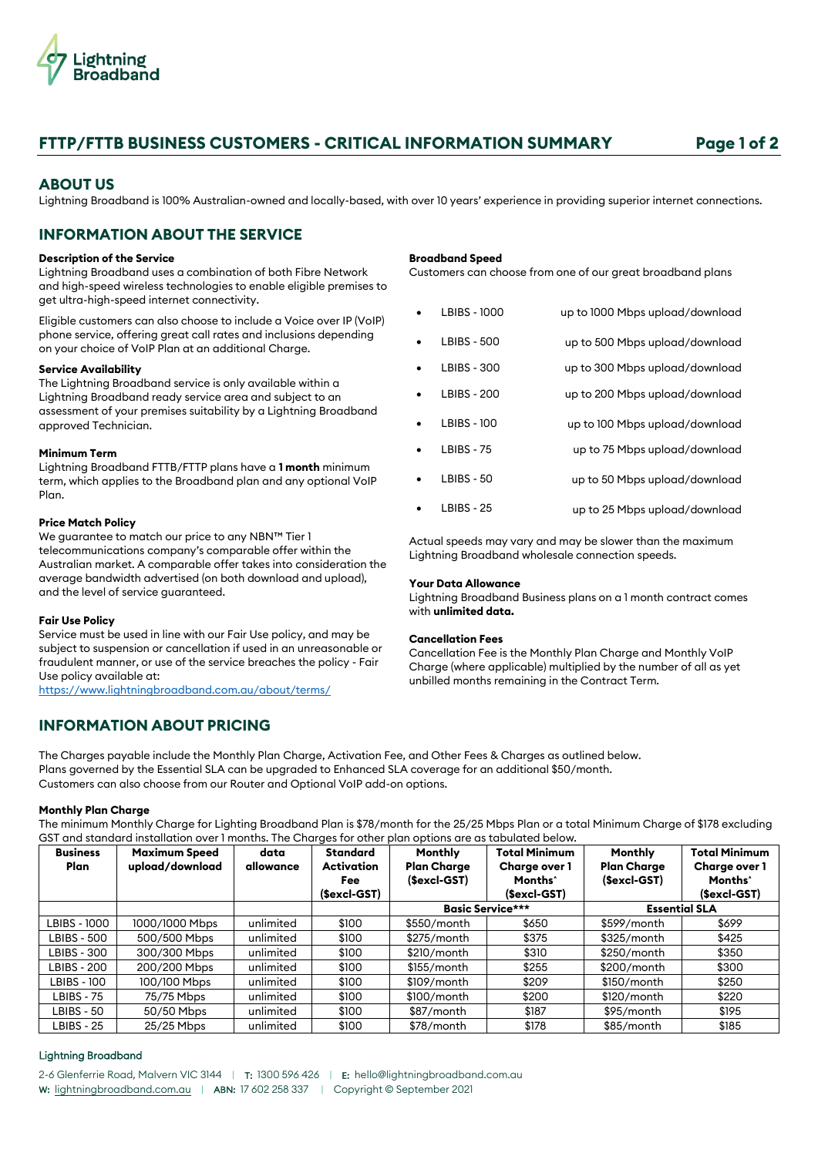

# **FTTP/FTTB BUSINESS CUSTOMERS - CRITICAL INFORMATION SUMMARY Page 1 of 2**

# **ABOUT US**

Lightning Broadband is 100% Australian-owned and locally-based, with over 10 years' experience in providing superior internet connections.

# **INFORMATION ABOUT THE SERVICE**

## **Description of the Service**

Lightning Broadband uses a combination of both Fibre Network and high-speed wireless technologies to enable eligible premises to get ultra-high-speed internet connectivity.

Eligible customers can also choose to include a Voice over IP (VoIP) phone service, offering great call rates and inclusions depending on your choice of VoIP Plan at an additional Charge.

# **Service Availability**

The Lightning Broadband service is only available within a Lightning Broadband ready service area and subject to an assessment of your premises suitability by a Lightning Broadband approved Technician.

# **Minimum Term**

Lightning Broadband FTTB/FTTP plans have a **1 month** minimum term, which applies to the Broadband plan and any optional VoIP Plan.

# **Price Match Policy**

We guarantee to match our price to any NBN™ Tier 1 telecommunications company's comparable offer within the Australian market. A comparable offer takes into consideration the average bandwidth advertised (on both download and upload), and the level of service guaranteed.

## **Fair Use Policy**

Service must be used in line with our Fair Use policy, and may be subject to suspension or cancellation if used in an unreasonable or fraudulent manner, or use of the service breaches the policy - Fair Use policy available at:

<https://www.lightningbroadband.com.au/about/terms/>

# **INFORMATION ABOUT PRICING**

**Broadband Speed**

Customers can choose from one of our great broadband plans

| up to 1000 Mbps upload/download | LBIBS - 1000       |  |
|---------------------------------|--------------------|--|
| up to 500 Mbps upload/download  | <b>LBIBS - 500</b> |  |
| up to 300 Mbps upload/download  | <b>LBIBS - 300</b> |  |
| up to 200 Mbps upload/download  | <b>LBIBS - 200</b> |  |
| up to 100 Mbps upload/download  | <b>LBIBS - 100</b> |  |
| up to 75 Mbps upload/download   | <b>LBIBS - 75</b>  |  |
| up to 50 Mbps upload/download   | <b>LBIBS - 50</b>  |  |
| up to 25 Mbps upload/download   | <b>I BIBS - 25</b> |  |

Actual speeds may vary and may be slower than the maximum Lightning Broadband wholesale connection speeds.

## **Your Data Allowance**

Lightning Broadband Business plans on a 1 month contract comes with **unlimited data.**

# **Cancellation Fees**

Cancellation Fee is the Monthly Plan Charge and Monthly VoIP Charge (where applicable) multiplied by the number of all as yet unbilled months remaining in the Contract Term.

The Charges payable include the Monthly Plan Charge, Activation Fee, and Other Fees & Charges as outlined below. Plans governed by the Essential SLA can be upgraded to Enhanced SLA coverage for an additional \$50/month. Customers can also choose from our Router and Optional VoIP add-on options.

## **Monthly Plan Charge**

The minimum Monthly Charge for Lighting Broadband Plan is \$78/month for the 25/25 Mbps Plan or a total Minimum Charge of \$178 excluding GST and standard installation over 1 months. The Charges for other plan options are as tabulated below.

| <b>Business</b><br>Plan | <b>Maximum Speed</b><br>upload/download | data<br>allowance | <b>Standard</b><br>Activation<br>Fee<br>(\$excl-GST) | Monthly<br><b>Plan Charge</b><br>$(Secl-GST)$ | <b>Total Minimum</b><br><b>Charge over 1</b><br>Months <sup>*</sup><br>(\$excl-GST) | Monthly<br><b>Plan Charge</b><br>(\$excl-GST) | <b>Total Minimum</b><br><b>Charge over 1</b><br>Months <sup>*</sup><br>(\$excl-GST) |
|-------------------------|-----------------------------------------|-------------------|------------------------------------------------------|-----------------------------------------------|-------------------------------------------------------------------------------------|-----------------------------------------------|-------------------------------------------------------------------------------------|
|                         |                                         |                   |                                                      |                                               | <b>Basic Service***</b>                                                             |                                               | <b>Essential SLA</b>                                                                |
| LBIBS - 1000            | 1000/1000 Mbps                          | unlimited         | \$100                                                | \$550/month                                   | \$650                                                                               | \$599/month                                   | \$699                                                                               |
| LBIBS - 500             | 500/500 Mbps                            | unlimited         | \$100                                                | $$275/m$ onth                                 | \$375                                                                               | \$325/month                                   | \$425                                                                               |
| LBIBS - 300             | 300/300 Mbps                            | unlimited         | \$100                                                | \$210/month                                   | \$310                                                                               | \$250/month                                   | \$350                                                                               |
| LBIBS - 200             | 200/200 Mbps                            | unlimited         | \$100                                                | $$155/m$ onth                                 | \$255                                                                               | $$200/m$ onth                                 | \$300                                                                               |
| LBIBS - 100             | 100/100 Mbps                            | unlimited         | \$100                                                | $$109/m$ onth                                 | \$209                                                                               | $$150/m$ onth                                 | \$250                                                                               |
| LBIBS - 75              | 75/75 Mbps                              | unlimited         | \$100                                                | $$100/m$ onth                                 | \$200                                                                               | $$120/m$ onth                                 | \$220                                                                               |
| LBIBS - 50              | 50/50 Mbps                              | unlimited         | \$100                                                | \$87/month                                    | \$187                                                                               | \$95/month                                    | \$195                                                                               |
| LBIBS - 25              | 25/25 Mbps                              | unlimited         | \$100                                                | \$78/month                                    | \$178                                                                               | \$85/month                                    | \$185                                                                               |

# Lightning Broadband